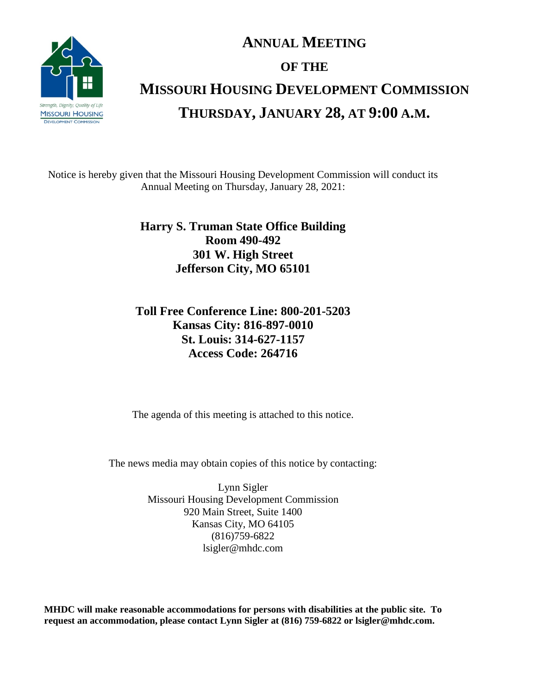

# **ANNUAL MEETING OF THE MISSOURI HOUSING DEVELOPMENT COMMISSION THURSDAY, JANUARY 28, AT 9:00 A.M.**

Notice is hereby given that the Missouri Housing Development Commission will conduct its Annual Meeting on Thursday, January 28, 2021:

## **Harry S. Truman State Office Building Room 490-492 301 W. High Street Jefferson City, MO 65101**

# **Toll Free Conference Line: 800-201-5203 Kansas City: 816-897-0010 St. Louis: 314-627-1157 Access Code: 264716**

The agenda of this meeting is attached to this notice.

The news media may obtain copies of this notice by contacting:

Lynn Sigler Missouri Housing Development Commission 920 Main Street, Suite 1400 Kansas City, MO 64105 (816)759-6822 lsigler@mhdc.com

**MHDC will make reasonable accommodations for persons with disabilities at the public site. To request an accommodation, please contact Lynn Sigler at (816) 759-6822 or lsigler@mhdc.com.**